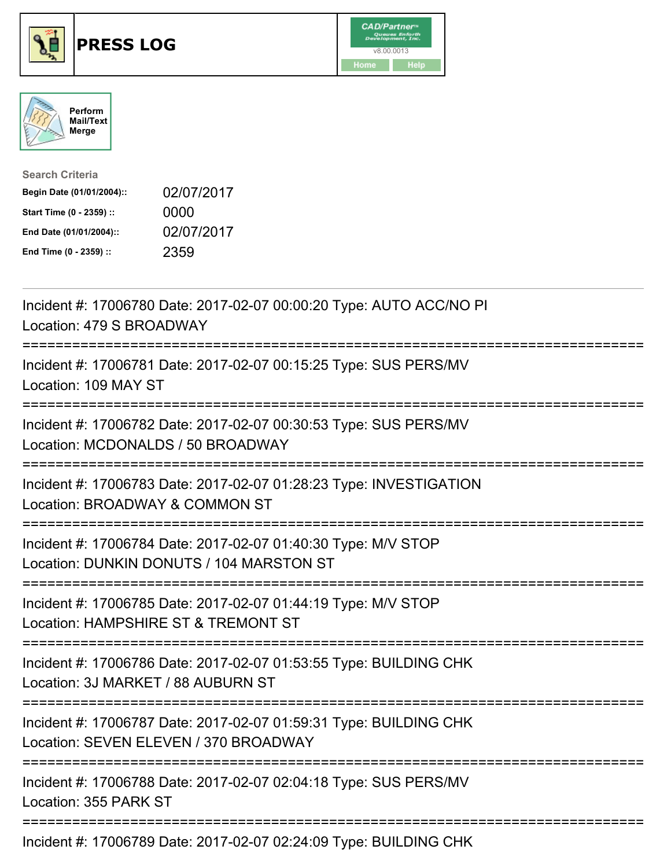





| <b>Search Criteria</b>    |            |
|---------------------------|------------|
| Begin Date (01/01/2004):: | 02/07/2017 |
| Start Time (0 - 2359) ::  | 0000       |
| End Date (01/01/2004)::   | 02/07/2017 |
| End Time (0 - 2359) ::    | 2359       |

| Incident #: 17006780 Date: 2017-02-07 00:00:20 Type: AUTO ACC/NO PI<br>Location: 479 S BROADWAY                                                                                        |
|----------------------------------------------------------------------------------------------------------------------------------------------------------------------------------------|
| Incident #: 17006781 Date: 2017-02-07 00:15:25 Type: SUS PERS/MV<br>Location: 109 MAY ST<br>.--------------                                                                            |
| Incident #: 17006782 Date: 2017-02-07 00:30:53 Type: SUS PERS/MV<br>Location: MCDONALDS / 50 BROADWAY                                                                                  |
| Incident #: 17006783 Date: 2017-02-07 01:28:23 Type: INVESTIGATION<br>Location: BROADWAY & COMMON ST                                                                                   |
| Incident #: 17006784 Date: 2017-02-07 01:40:30 Type: M/V STOP<br>Location: DUNKIN DONUTS / 104 MARSTON ST<br>:===============================<br>:==================================== |
| Incident #: 17006785 Date: 2017-02-07 01:44:19 Type: M/V STOP<br>Location: HAMPSHIRE ST & TREMONT ST                                                                                   |
| Incident #: 17006786 Date: 2017-02-07 01:53:55 Type: BUILDING CHK<br>Location: 3J MARKET / 88 AUBURN ST<br>============================                                                |
| Incident #: 17006787 Date: 2017-02-07 01:59:31 Type: BUILDING CHK<br>Location: SEVEN ELEVEN / 370 BROADWAY                                                                             |
| Incident #: 17006788 Date: 2017-02-07 02:04:18 Type: SUS PERS/MV<br>Location: 355 PARK ST                                                                                              |
| Incident #: 17006789 Date: 2017-02-07 02:24:09 Type: BUILDING CHK                                                                                                                      |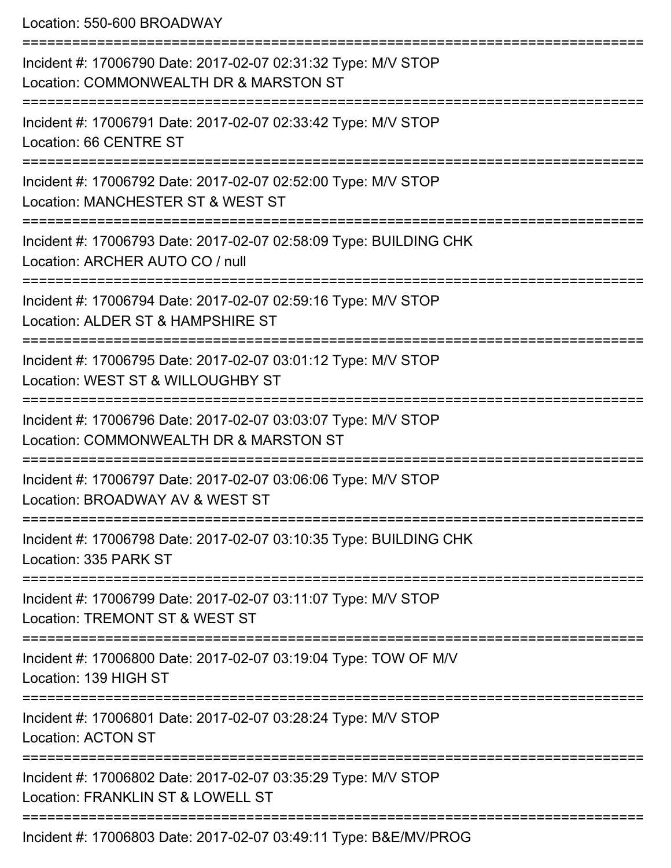Location: 550-600 BROADWAY

| Incident #: 17006790 Date: 2017-02-07 02:31:32 Type: M/V STOP<br>Location: COMMONWEALTH DR & MARSTON ST                           |
|-----------------------------------------------------------------------------------------------------------------------------------|
| Incident #: 17006791 Date: 2017-02-07 02:33:42 Type: M/V STOP<br>Location: 66 CENTRE ST                                           |
| Incident #: 17006792 Date: 2017-02-07 02:52:00 Type: M/V STOP<br>Location: MANCHESTER ST & WEST ST                                |
| Incident #: 17006793 Date: 2017-02-07 02:58:09 Type: BUILDING CHK<br>Location: ARCHER AUTO CO / null                              |
| Incident #: 17006794 Date: 2017-02-07 02:59:16 Type: M/V STOP<br>Location: ALDER ST & HAMPSHIRE ST                                |
| Incident #: 17006795 Date: 2017-02-07 03:01:12 Type: M/V STOP<br>Location: WEST ST & WILLOUGHBY ST                                |
| Incident #: 17006796 Date: 2017-02-07 03:03:07 Type: M/V STOP<br>Location: COMMONWEALTH DR & MARSTON ST                           |
| Incident #: 17006797 Date: 2017-02-07 03:06:06 Type: M/V STOP<br>Location: BROADWAY AV & WEST ST                                  |
| Incident #: 17006798 Date: 2017-02-07 03:10:35 Type: BUILDING CHK<br>Location: 335 PARK ST                                        |
| <u> :=====================</u><br>Incident #: 17006799 Date: 2017-02-07 03:11:07 Type: M/V STOP<br>Location: TREMONT ST & WEST ST |
| ==============<br>Incident #: 17006800 Date: 2017-02-07 03:19:04 Type: TOW OF M/V<br>Location: 139 HIGH ST                        |
| Incident #: 17006801 Date: 2017-02-07 03:28:24 Type: M/V STOP<br><b>Location: ACTON ST</b>                                        |
| Incident #: 17006802 Date: 2017-02-07 03:35:29 Type: M/V STOP<br>Location: FRANKLIN ST & LOWELL ST                                |
|                                                                                                                                   |

Incident #: 17006803 Date: 2017-02-07 03:49:11 Type: B&E/MV/PROG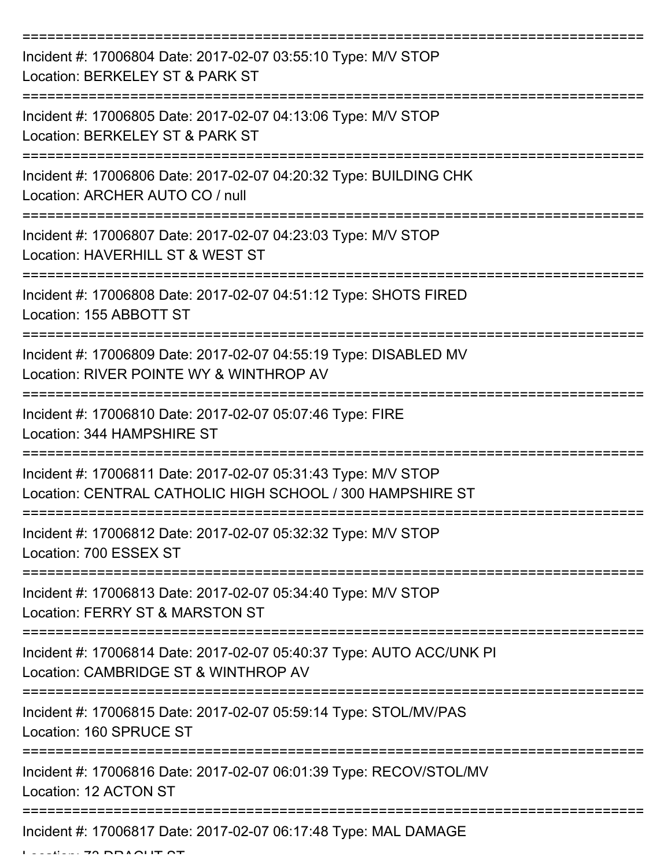| Incident #: 17006804 Date: 2017-02-07 03:55:10 Type: M/V STOP<br>Location: BERKELEY ST & PARK ST                           |
|----------------------------------------------------------------------------------------------------------------------------|
| Incident #: 17006805 Date: 2017-02-07 04:13:06 Type: M/V STOP<br>Location: BERKELEY ST & PARK ST                           |
| Incident #: 17006806 Date: 2017-02-07 04:20:32 Type: BUILDING CHK<br>Location: ARCHER AUTO CO / null                       |
| Incident #: 17006807 Date: 2017-02-07 04:23:03 Type: M/V STOP<br>Location: HAVERHILL ST & WEST ST                          |
| Incident #: 17006808 Date: 2017-02-07 04:51:12 Type: SHOTS FIRED<br>Location: 155 ABBOTT ST                                |
| Incident #: 17006809 Date: 2017-02-07 04:55:19 Type: DISABLED MV<br>Location: RIVER POINTE WY & WINTHROP AV                |
| Incident #: 17006810 Date: 2017-02-07 05:07:46 Type: FIRE<br>Location: 344 HAMPSHIRE ST                                    |
| Incident #: 17006811 Date: 2017-02-07 05:31:43 Type: M/V STOP<br>Location: CENTRAL CATHOLIC HIGH SCHOOL / 300 HAMPSHIRE ST |
| Incident #: 17006812 Date: 2017-02-07 05:32:32 Type: M/V STOP<br>Location: 700 ESSEX ST                                    |
| Incident #: 17006813 Date: 2017-02-07 05:34:40 Type: M/V STOP<br>Location: FERRY ST & MARSTON ST                           |
| Incident #: 17006814 Date: 2017-02-07 05:40:37 Type: AUTO ACC/UNK PI<br>Location: CAMBRIDGE ST & WINTHROP AV               |
| Incident #: 17006815 Date: 2017-02-07 05:59:14 Type: STOL/MV/PAS<br>Location: 160 SPRUCE ST                                |
| Incident #: 17006816 Date: 2017-02-07 06:01:39 Type: RECOV/STOL/MV<br>Location: 12 ACTON ST                                |
| Incident #: 17006817 Date: 2017-02-07 06:17:48 Type: MAL DAMAGE                                                            |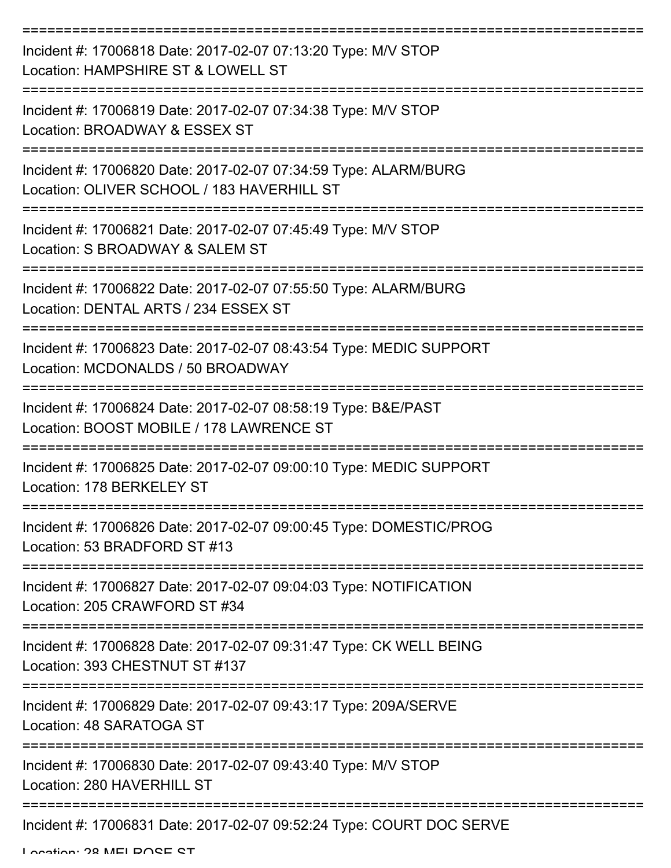| Incident #: 17006818 Date: 2017-02-07 07:13:20 Type: M/V STOP<br>Location: HAMPSHIRE ST & LOWELL ST           |
|---------------------------------------------------------------------------------------------------------------|
| Incident #: 17006819 Date: 2017-02-07 07:34:38 Type: M/V STOP<br>Location: BROADWAY & ESSEX ST                |
| Incident #: 17006820 Date: 2017-02-07 07:34:59 Type: ALARM/BURG<br>Location: OLIVER SCHOOL / 183 HAVERHILL ST |
| Incident #: 17006821 Date: 2017-02-07 07:45:49 Type: M/V STOP<br>Location: S BROADWAY & SALEM ST              |
| Incident #: 17006822 Date: 2017-02-07 07:55:50 Type: ALARM/BURG<br>Location: DENTAL ARTS / 234 ESSEX ST       |
| Incident #: 17006823 Date: 2017-02-07 08:43:54 Type: MEDIC SUPPORT<br>Location: MCDONALDS / 50 BROADWAY       |
| Incident #: 17006824 Date: 2017-02-07 08:58:19 Type: B&E/PAST<br>Location: BOOST MOBILE / 178 LAWRENCE ST     |
| Incident #: 17006825 Date: 2017-02-07 09:00:10 Type: MEDIC SUPPORT<br>Location: 178 BERKELEY ST               |
| Incident #: 17006826 Date: 2017-02-07 09:00:45 Type: DOMESTIC/PROG<br>Location: 53 BRADFORD ST #13            |
| Incident #: 17006827 Date: 2017-02-07 09:04:03 Type: NOTIFICATION<br>Location: 205 CRAWFORD ST #34            |
| Incident #: 17006828 Date: 2017-02-07 09:31:47 Type: CK WELL BEING<br>Location: 393 CHESTNUT ST #137          |
| Incident #: 17006829 Date: 2017-02-07 09:43:17 Type: 209A/SERVE<br>Location: 48 SARATOGA ST                   |
| Incident #: 17006830 Date: 2017-02-07 09:43:40 Type: M/V STOP<br>Location: 280 HAVERHILL ST                   |
| Incident #: 17006831 Date: 2017-02-07 09:52:24 Type: COURT DOC SERVE                                          |

Location: 28 MELDOCE CT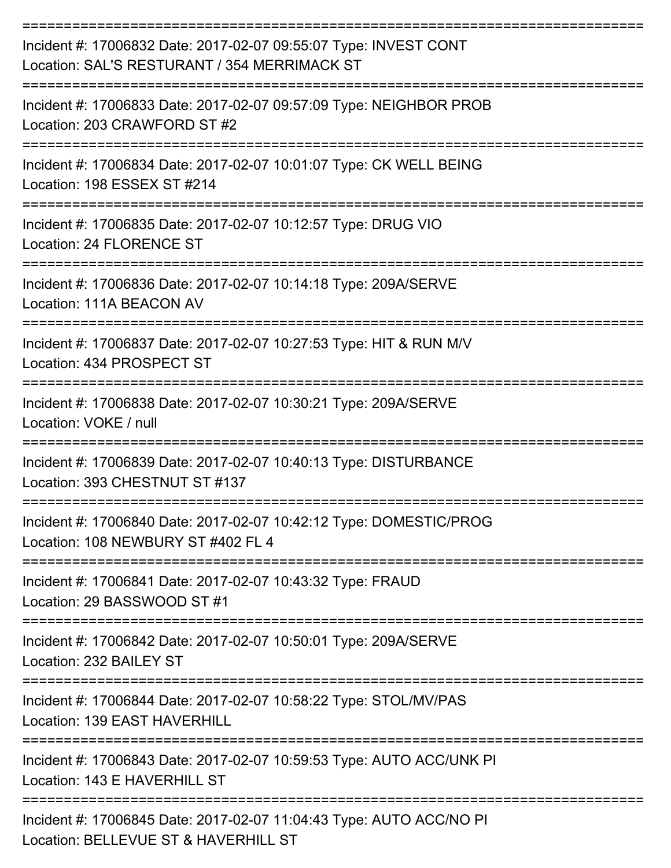| Incident #: 17006832 Date: 2017-02-07 09:55:07 Type: INVEST CONT<br>Location: SAL'S RESTURANT / 354 MERRIMACK ST |
|------------------------------------------------------------------------------------------------------------------|
| Incident #: 17006833 Date: 2017-02-07 09:57:09 Type: NEIGHBOR PROB<br>Location: 203 CRAWFORD ST #2               |
| Incident #: 17006834 Date: 2017-02-07 10:01:07 Type: CK WELL BEING<br>Location: 198 ESSEX ST #214                |
| Incident #: 17006835 Date: 2017-02-07 10:12:57 Type: DRUG VIO<br>Location: 24 FLORENCE ST                        |
| Incident #: 17006836 Date: 2017-02-07 10:14:18 Type: 209A/SERVE<br>Location: 111A BEACON AV                      |
| Incident #: 17006837 Date: 2017-02-07 10:27:53 Type: HIT & RUN M/V<br>Location: 434 PROSPECT ST                  |
| Incident #: 17006838 Date: 2017-02-07 10:30:21 Type: 209A/SERVE<br>Location: VOKE / null                         |
| Incident #: 17006839 Date: 2017-02-07 10:40:13 Type: DISTURBANCE<br>Location: 393 CHESTNUT ST #137               |
| Incident #: 17006840 Date: 2017-02-07 10:42:12 Type: DOMESTIC/PROG<br>Location: 108 NEWBURY ST #402 FL 4         |
| Incident #: 17006841 Date: 2017-02-07 10:43:32 Type: FRAUD<br>Location: 29 BASSWOOD ST #1                        |
| Incident #: 17006842 Date: 2017-02-07 10:50:01 Type: 209A/SERVE<br>Location: 232 BAILEY ST                       |
| Incident #: 17006844 Date: 2017-02-07 10:58:22 Type: STOL/MV/PAS<br>Location: 139 EAST HAVERHILL                 |
| Incident #: 17006843 Date: 2017-02-07 10:59:53 Type: AUTO ACC/UNK PI<br>Location: 143 E HAVERHILL ST             |
| Incident #: 17006845 Date: 2017-02-07 11:04:43 Type: AUTO ACC/NO PI<br>Location: BELLEVUE ST & HAVERHILL ST      |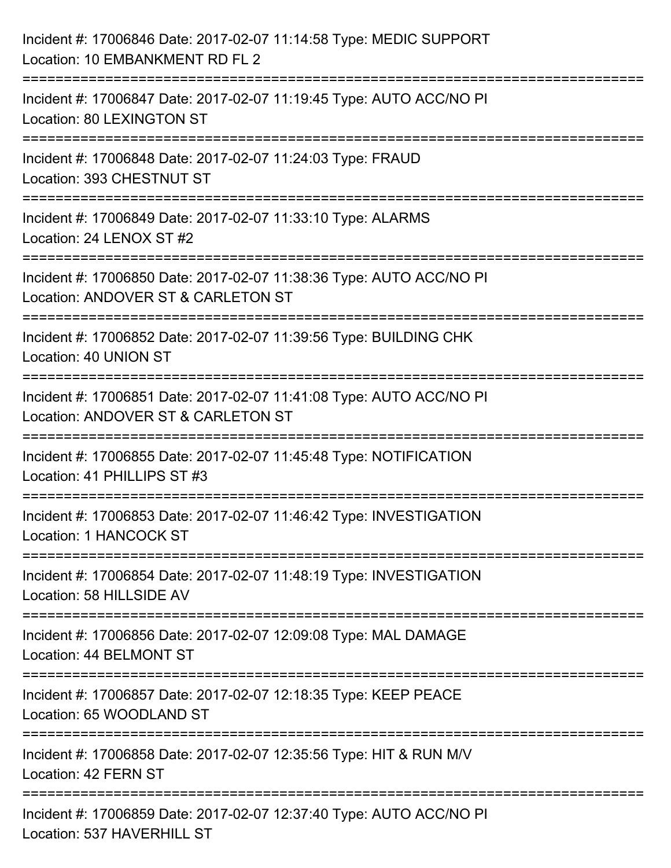| Incident #: 17006846 Date: 2017-02-07 11:14:58 Type: MEDIC SUPPORT<br>Location: 10 EMBANKMENT RD FL 2        |
|--------------------------------------------------------------------------------------------------------------|
| Incident #: 17006847 Date: 2017-02-07 11:19:45 Type: AUTO ACC/NO PI<br>Location: 80 LEXINGTON ST             |
| Incident #: 17006848 Date: 2017-02-07 11:24:03 Type: FRAUD<br>Location: 393 CHESTNUT ST                      |
| Incident #: 17006849 Date: 2017-02-07 11:33:10 Type: ALARMS<br>Location: 24 LENOX ST #2                      |
| Incident #: 17006850 Date: 2017-02-07 11:38:36 Type: AUTO ACC/NO PI<br>Location: ANDOVER ST & CARLETON ST    |
| ==============<br>Incident #: 17006852 Date: 2017-02-07 11:39:56 Type: BUILDING CHK<br>Location: 40 UNION ST |
| Incident #: 17006851 Date: 2017-02-07 11:41:08 Type: AUTO ACC/NO PI<br>Location: ANDOVER ST & CARLETON ST    |
| Incident #: 17006855 Date: 2017-02-07 11:45:48 Type: NOTIFICATION<br>Location: 41 PHILLIPS ST #3             |
| Incident #: 17006853 Date: 2017-02-07 11:46:42 Type: INVESTIGATION<br>Location: 1 HANCOCK ST                 |
| Incident #: 17006854 Date: 2017-02-07 11:48:19 Type: INVESTIGATION<br>Location: 58 HILLSIDE AV               |
| Incident #: 17006856 Date: 2017-02-07 12:09:08 Type: MAL DAMAGE<br>Location: 44 BELMONT ST                   |
| Incident #: 17006857 Date: 2017-02-07 12:18:35 Type: KEEP PEACE<br>Location: 65 WOODLAND ST                  |
| Incident #: 17006858 Date: 2017-02-07 12:35:56 Type: HIT & RUN M/V<br>Location: 42 FERN ST                   |
| Incident #: 17006859 Date: 2017-02-07 12:37:40 Type: AUTO ACC/NO PI<br>Location: 537 HAVERHILL ST            |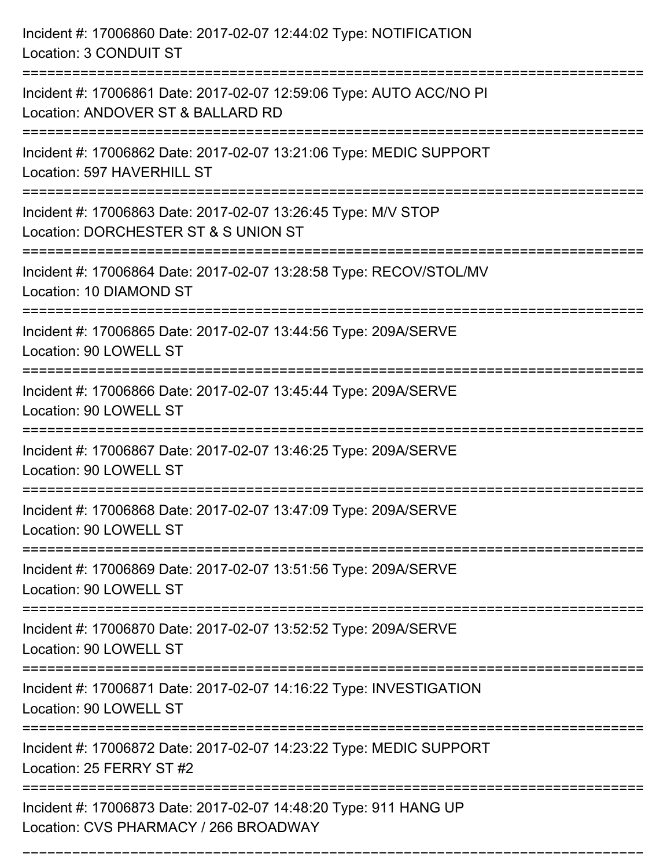| Incident #: 17006860 Date: 2017-02-07 12:44:02 Type: NOTIFICATION<br>Location: 3 CONDUIT ST                                   |
|-------------------------------------------------------------------------------------------------------------------------------|
| Incident #: 17006861 Date: 2017-02-07 12:59:06 Type: AUTO ACC/NO PI<br>Location: ANDOVER ST & BALLARD RD                      |
| Incident #: 17006862 Date: 2017-02-07 13:21:06 Type: MEDIC SUPPORT<br>Location: 597 HAVERHILL ST                              |
| Incident #: 17006863 Date: 2017-02-07 13:26:45 Type: M/V STOP<br>Location: DORCHESTER ST & S UNION ST                         |
| Incident #: 17006864 Date: 2017-02-07 13:28:58 Type: RECOV/STOL/MV<br>Location: 10 DIAMOND ST                                 |
| Incident #: 17006865 Date: 2017-02-07 13:44:56 Type: 209A/SERVE<br>Location: 90 LOWELL ST                                     |
| Incident #: 17006866 Date: 2017-02-07 13:45:44 Type: 209A/SERVE<br>Location: 90 LOWELL ST                                     |
| Incident #: 17006867 Date: 2017-02-07 13:46:25 Type: 209A/SERVE<br>Location: 90 LOWELL ST                                     |
| Incident #: 17006868 Date: 2017-02-07 13:47:09 Type: 209A/SERVE<br>Location: 90 LOWELL ST                                     |
| Incident #: 17006869 Date: 2017-02-07 13:51:56 Type: 209A/SERVE<br>Location: 90 LOWELL ST                                     |
| Incident #: 17006870 Date: 2017-02-07 13:52:52 Type: 209A/SERVE<br>Location: 90 LOWELL ST                                     |
| Incident #: 17006871 Date: 2017-02-07 14:16:22 Type: INVESTIGATION<br>Location: 90 LOWELL ST                                  |
| ===========================<br>Incident #: 17006872 Date: 2017-02-07 14:23:22 Type: MEDIC SUPPORT<br>Location: 25 FERRY ST #2 |
| Incident #: 17006873 Date: 2017-02-07 14:48:20 Type: 911 HANG UP<br>Location: CVS PHARMACY / 266 BROADWAY                     |

===========================================================================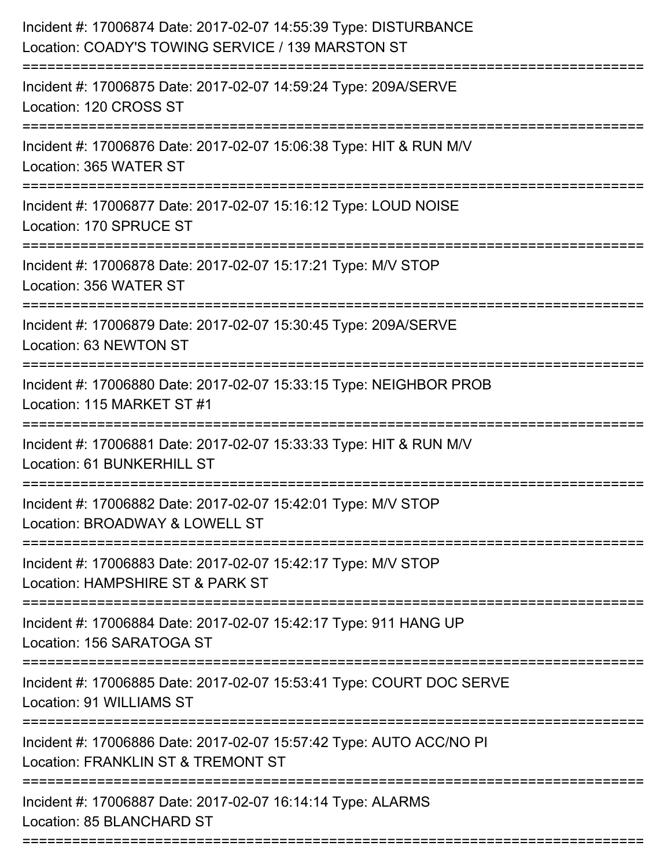| Incident #: 17006874 Date: 2017-02-07 14:55:39 Type: DISTURBANCE<br>Location: COADY'S TOWING SERVICE / 139 MARSTON ST                         |
|-----------------------------------------------------------------------------------------------------------------------------------------------|
| Incident #: 17006875 Date: 2017-02-07 14:59:24 Type: 209A/SERVE<br>Location: 120 CROSS ST                                                     |
| Incident #: 17006876 Date: 2017-02-07 15:06:38 Type: HIT & RUN M/V<br>Location: 365 WATER ST                                                  |
| Incident #: 17006877 Date: 2017-02-07 15:16:12 Type: LOUD NOISE<br>Location: 170 SPRUCE ST                                                    |
| Incident #: 17006878 Date: 2017-02-07 15:17:21 Type: M/V STOP<br>Location: 356 WATER ST                                                       |
| Incident #: 17006879 Date: 2017-02-07 15:30:45 Type: 209A/SERVE<br>Location: 63 NEWTON ST                                                     |
| Incident #: 17006880 Date: 2017-02-07 15:33:15 Type: NEIGHBOR PROB<br>Location: 115 MARKET ST #1                                              |
| Incident #: 17006881 Date: 2017-02-07 15:33:33 Type: HIT & RUN M/V<br>Location: 61 BUNKERHILL ST                                              |
| Incident #: 17006882 Date: 2017-02-07 15:42:01 Type: M/V STOP<br>Location: BROADWAY & LOWELL ST                                               |
| Incident #: 17006883 Date: 2017-02-07 15:42:17 Type: M/V STOP<br>Location: HAMPSHIRE ST & PARK ST                                             |
| Incident #: 17006884 Date: 2017-02-07 15:42:17 Type: 911 HANG UP<br>Location: 156 SARATOGA ST                                                 |
| Incident #: 17006885 Date: 2017-02-07 15:53:41 Type: COURT DOC SERVE<br>Location: 91 WILLIAMS ST                                              |
| ================================<br>Incident #: 17006886 Date: 2017-02-07 15:57:42 Type: AUTO ACC/NO PI<br>Location: FRANKLIN ST & TREMONT ST |
| Incident #: 17006887 Date: 2017-02-07 16:14:14 Type: ALARMS<br>Location: 85 BLANCHARD ST                                                      |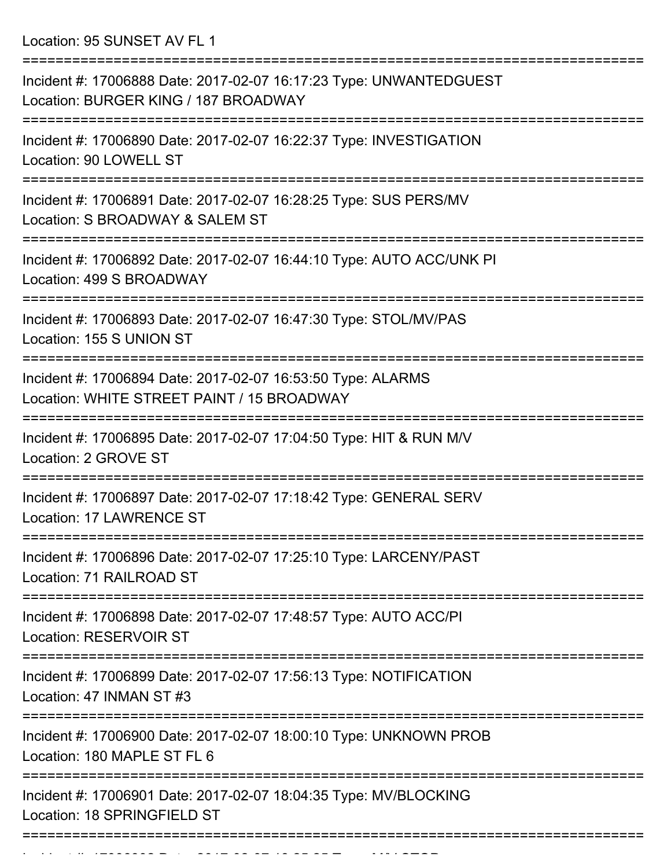Location: 95 SUNSET AV FL 1

| Incident #: 17006888 Date: 2017-02-07 16:17:23 Type: UNWANTEDGUEST<br>Location: BURGER KING / 187 BROADWAY |
|------------------------------------------------------------------------------------------------------------|
| Incident #: 17006890 Date: 2017-02-07 16:22:37 Type: INVESTIGATION<br>Location: 90 LOWELL ST               |
| Incident #: 17006891 Date: 2017-02-07 16:28:25 Type: SUS PERS/MV<br>Location: S BROADWAY & SALEM ST        |
| Incident #: 17006892 Date: 2017-02-07 16:44:10 Type: AUTO ACC/UNK PI<br>Location: 499 S BROADWAY           |
| Incident #: 17006893 Date: 2017-02-07 16:47:30 Type: STOL/MV/PAS<br>Location: 155 S UNION ST               |
| Incident #: 17006894 Date: 2017-02-07 16:53:50 Type: ALARMS<br>Location: WHITE STREET PAINT / 15 BROADWAY  |
| Incident #: 17006895 Date: 2017-02-07 17:04:50 Type: HIT & RUN M/V<br>Location: 2 GROVE ST                 |
| Incident #: 17006897 Date: 2017-02-07 17:18:42 Type: GENERAL SERV<br>Location: 17 LAWRENCE ST              |
| Incident #: 17006896 Date: 2017-02-07 17:25:10 Type: LARCENY/PAST<br>Location: 71 RAILROAD ST              |
| Incident #: 17006898 Date: 2017-02-07 17:48:57 Type: AUTO ACC/PI<br><b>Location: RESERVOIR ST</b>          |
| Incident #: 17006899 Date: 2017-02-07 17:56:13 Type: NOTIFICATION<br>Location: 47 INMAN ST #3              |
| Incident #: 17006900 Date: 2017-02-07 18:00:10 Type: UNKNOWN PROB<br>Location: 180 MAPLE ST FL 6           |
| Incident #: 17006901 Date: 2017-02-07 18:04:35 Type: MV/BLOCKING<br>Location: 18 SPRINGFIELD ST            |
|                                                                                                            |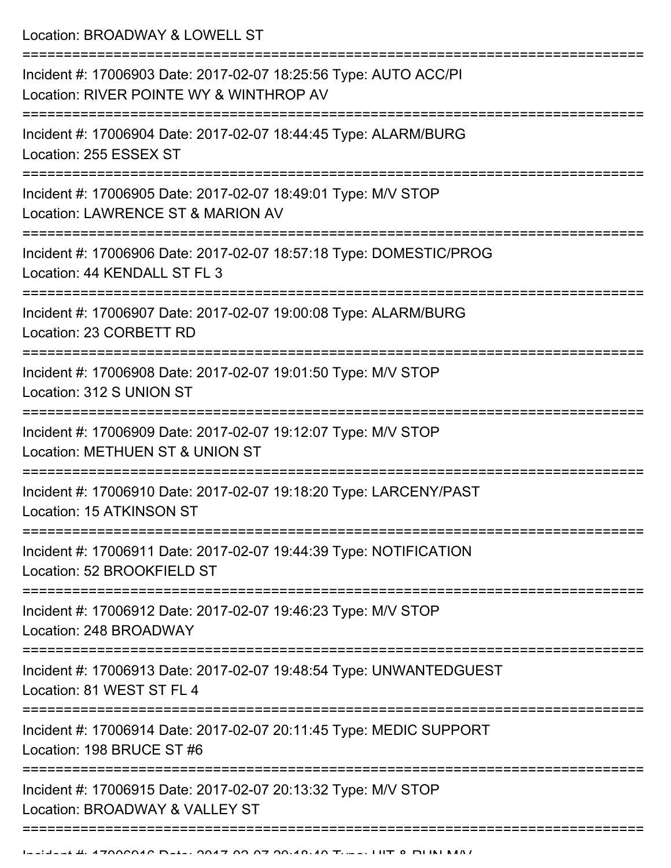Location: BROADWAY & LOWELL ST

| Incident #: 17006903 Date: 2017-02-07 18:25:56 Type: AUTO ACC/PI<br>Location: RIVER POINTE WY & WINTHROP AV |
|-------------------------------------------------------------------------------------------------------------|
| Incident #: 17006904 Date: 2017-02-07 18:44:45 Type: ALARM/BURG<br>Location: 255 ESSEX ST                   |
| Incident #: 17006905 Date: 2017-02-07 18:49:01 Type: M/V STOP<br>Location: LAWRENCE ST & MARION AV          |
| Incident #: 17006906 Date: 2017-02-07 18:57:18 Type: DOMESTIC/PROG<br>Location: 44 KENDALL ST FL 3          |
| Incident #: 17006907 Date: 2017-02-07 19:00:08 Type: ALARM/BURG<br>Location: 23 CORBETT RD                  |
| Incident #: 17006908 Date: 2017-02-07 19:01:50 Type: M/V STOP<br>Location: 312 S UNION ST                   |
| Incident #: 17006909 Date: 2017-02-07 19:12:07 Type: M/V STOP<br>Location: METHUEN ST & UNION ST            |
| Incident #: 17006910 Date: 2017-02-07 19:18:20 Type: LARCENY/PAST<br>Location: 15 ATKINSON ST               |
| Incident #: 17006911 Date: 2017-02-07 19:44:39 Type: NOTIFICATION<br>Location: 52 BROOKFIELD ST             |
| Incident #: 17006912 Date: 2017-02-07 19:46:23 Type: M/V STOP<br>Location: 248 BROADWAY                     |
| Incident #: 17006913 Date: 2017-02-07 19:48:54 Type: UNWANTEDGUEST<br>Location: 81 WEST ST FL 4             |
| Incident #: 17006914 Date: 2017-02-07 20:11:45 Type: MEDIC SUPPORT<br>Location: 198 BRUCE ST #6             |
| Incident #: 17006915 Date: 2017-02-07 20:13:32 Type: M/V STOP<br>Location: BROADWAY & VALLEY ST             |
|                                                                                                             |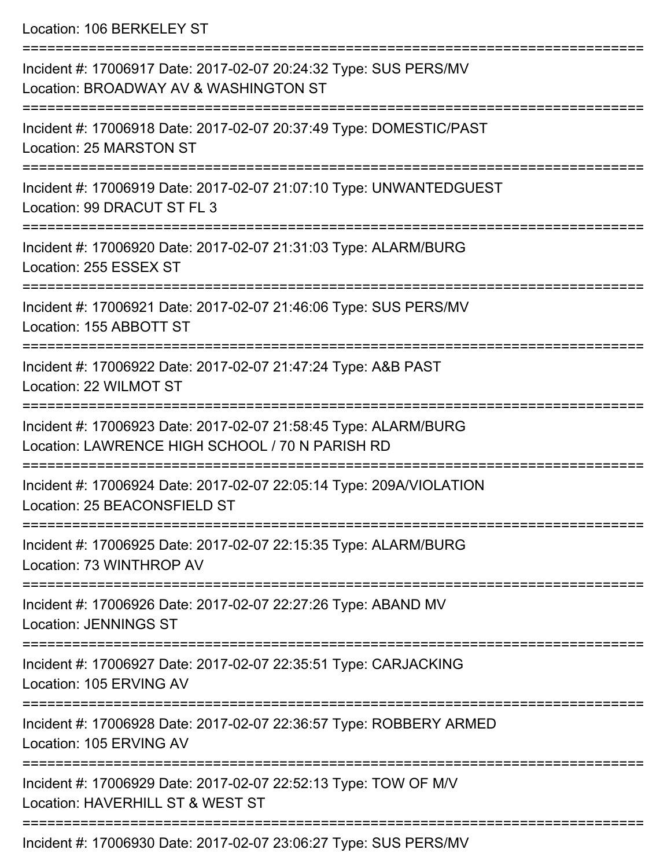Location: 106 BERKELEY ST

| Incident #: 17006917 Date: 2017-02-07 20:24:32 Type: SUS PERS/MV<br>Location: BROADWAY AV & WASHINGTON ST          |
|--------------------------------------------------------------------------------------------------------------------|
| Incident #: 17006918 Date: 2017-02-07 20:37:49 Type: DOMESTIC/PAST<br>Location: 25 MARSTON ST                      |
| Incident #: 17006919 Date: 2017-02-07 21:07:10 Type: UNWANTEDGUEST<br>Location: 99 DRACUT ST FL 3                  |
| Incident #: 17006920 Date: 2017-02-07 21:31:03 Type: ALARM/BURG<br>Location: 255 ESSEX ST                          |
| Incident #: 17006921 Date: 2017-02-07 21:46:06 Type: SUS PERS/MV<br>Location: 155 ABBOTT ST                        |
| Incident #: 17006922 Date: 2017-02-07 21:47:24 Type: A&B PAST<br>Location: 22 WILMOT ST                            |
| Incident #: 17006923 Date: 2017-02-07 21:58:45 Type: ALARM/BURG<br>Location: LAWRENCE HIGH SCHOOL / 70 N PARISH RD |
| Incident #: 17006924 Date: 2017-02-07 22:05:14 Type: 209A/VIOLATION<br>Location: 25 BEACONSFIELD ST                |
| Incident #: 17006925 Date: 2017-02-07 22:15:35 Type: ALARM/BURG<br>Location: 73 WINTHROP AV                        |
| Incident #: 17006926 Date: 2017-02-07 22:27:26 Type: ABAND MV<br><b>Location: JENNINGS ST</b>                      |
| Incident #: 17006927 Date: 2017-02-07 22:35:51 Type: CARJACKING<br>Location: 105 ERVING AV                         |
| Incident #: 17006928 Date: 2017-02-07 22:36:57 Type: ROBBERY ARMED<br>Location: 105 ERVING AV                      |
| Incident #: 17006929 Date: 2017-02-07 22:52:13 Type: TOW OF M/V<br>Location: HAVERHILL ST & WEST ST                |
| Incident #: 17006930 Date: 2017-02-07 23:06:27 Type: SUS PERS/MV                                                   |